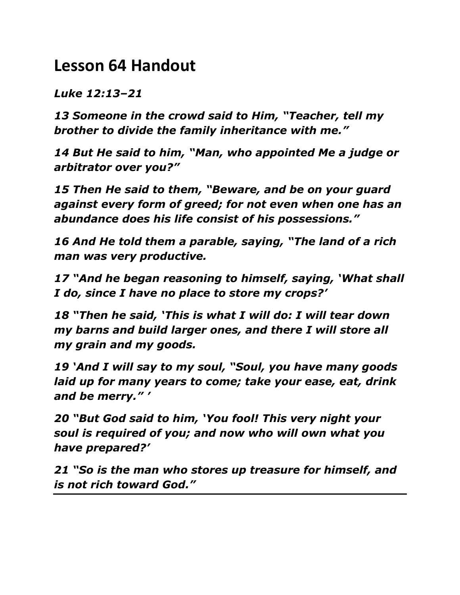## **Lesson 64 Handout**

*Luke 12:13–21*

*13 Someone in the crowd said to Him, "Teacher, tell my brother to divide the family inheritance with me."* 

*14 But He said to him, "Man, who appointed Me a judge or arbitrator over you?"* 

*15 Then He said to them, "Beware, and be on your guard against every form of greed; for not even when one has an abundance does his life consist of his possessions."* 

*16 And He told them a parable, saying, "The land of a rich man was very productive.* 

*17 "And he began reasoning to himself, saying, 'What shall I do, since I have no place to store my crops?'* 

*18 "Then he said, 'This is what I will do: I will tear down my barns and build larger ones, and there I will store all my grain and my goods.* 

*19 'And I will say to my soul, "Soul, you have many goods laid up for many years to come; take your ease, eat, drink and be merry." '* 

*20 "But God said to him, 'You fool! This very night your soul is required of you; and now who will own what you have prepared?'* 

*21 "So is the man who stores up treasure for himself, and is not rich toward God."*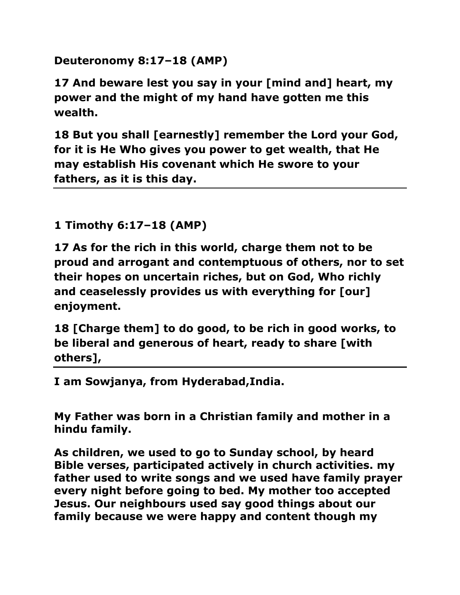**Deuteronomy 8:17–18 (AMP)**

**17 And beware lest you say in your [mind and] heart, my power and the might of my hand have gotten me this wealth.** 

**18 But you shall [earnestly] remember the Lord your God, for it is He Who gives you power to get wealth, that He may establish His covenant which He swore to your fathers, as it is this day.** 

**1 Timothy 6:17–18 (AMP)**

**17 As for the rich in this world, charge them not to be proud and arrogant and contemptuous of others, nor to set their hopes on uncertain riches, but on God, Who richly and ceaselessly provides us with everything for [our] enjoyment.** 

**18 [Charge them] to do good, to be rich in good works, to be liberal and generous of heart, ready to share [with others],** 

**I am Sowjanya, from Hyderabad,India.** 

**My Father was born in a Christian family and mother in a hindu family.** 

**As children, we used to go to Sunday school, by heard Bible verses, participated actively in church activities. my father used to write songs and we used have family prayer every night before going to bed. My mother too accepted Jesus. Our neighbours used say good things about our family because we were happy and content though my**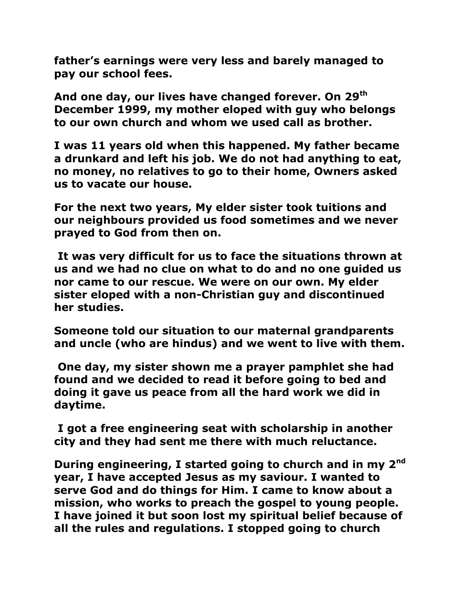**father's earnings were very less and barely managed to pay our school fees.**

**And one day, our lives have changed forever. On 29th December 1999, my mother eloped with guy who belongs to our own church and whom we used call as brother.** 

**I was 11 years old when this happened. My father became a drunkard and left his job. We do not had anything to eat, no money, no relatives to go to their home, Owners asked us to vacate our house.**

**For the next two years, My elder sister took tuitions and our neighbours provided us food sometimes and we never prayed to God from then on.**

**It was very difficult for us to face the situations thrown at us and we had no clue on what to do and no one guided us nor came to our rescue. We were on our own. My elder sister eloped with a non-Christian guy and discontinued her studies.**

**Someone told our situation to our maternal grandparents and uncle (who are hindus) and we went to live with them.**

**One day, my sister shown me a prayer pamphlet she had found and we decided to read it before going to bed and doing it gave us peace from all the hard work we did in daytime.**

**I got a free engineering seat with scholarship in another city and they had sent me there with much reluctance.** 

**During engineering, I started going to church and in my 2nd year, I have accepted Jesus as my saviour. I wanted to serve God and do things for Him. I came to know about a mission, who works to preach the gospel to young people. I have joined it but soon lost my spiritual belief because of all the rules and regulations. I stopped going to church**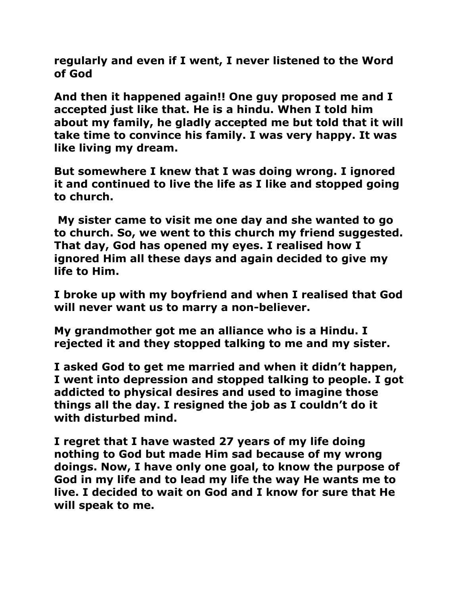**regularly and even if I went, I never listened to the Word of God** 

**And then it happened again!! One guy proposed me and I accepted just like that. He is a hindu. When I told him about my family, he gladly accepted me but told that it will take time to convince his family. I was very happy. It was like living my dream.** 

**But somewhere I knew that I was doing wrong. I ignored it and continued to live the life as I like and stopped going to church.** 

**My sister came to visit me one day and she wanted to go to church. So, we went to this church my friend suggested. That day, God has opened my eyes. I realised how I ignored Him all these days and again decided to give my life to Him.**

**I broke up with my boyfriend and when I realised that God will never want us to marry a non-believer.**

**My grandmother got me an alliance who is a Hindu. I rejected it and they stopped talking to me and my sister.**

**I asked God to get me married and when it didn't happen, I went into depression and stopped talking to people. I got addicted to physical desires and used to imagine those things all the day. I resigned the job as I couldn't do it with disturbed mind.**

**I regret that I have wasted 27 years of my life doing nothing to God but made Him sad because of my wrong doings. Now, I have only one goal, to know the purpose of God in my life and to lead my life the way He wants me to live. I decided to wait on God and I know for sure that He will speak to me.**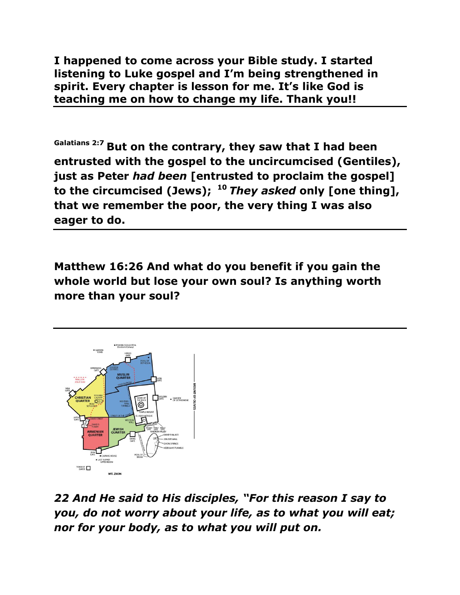**I happened to come across your Bible study. I started listening to Luke gospel and I'm being strengthened in spirit. Every chapter is lesson for me. It's like God is teaching me on how to change my life. Thank you!!**

**Galatians 2:7 But on the contrary, they saw that I had been entrusted with the gospel to the uncircumcised (Gentiles), just as Peter** *had been* **[entrusted to proclaim the gospel] to the circumcised (Jews); <sup>10</sup>** *They asked* **only [one thing], that we remember the poor, the very thing I was also eager to do.**

**Matthew 16:26 And what do you benefit if you gain the whole world but lose your own soul? Is anything worth more than your soul?**



*22 And He said to His disciples, "For this reason I say to you, do not worry about your life, as to what you will eat; nor for your body, as to what you will put on.*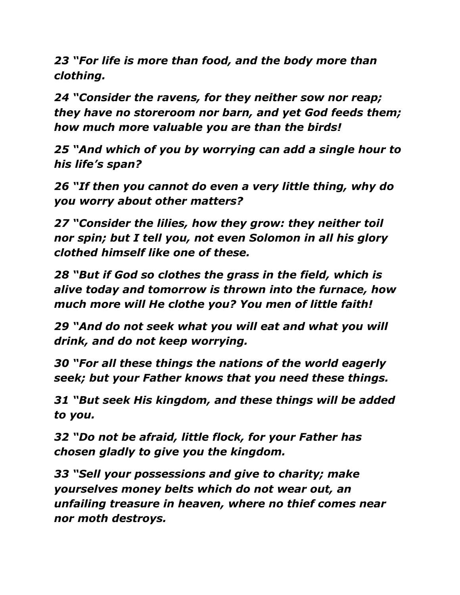*23 "For life is more than food, and the body more than clothing.* 

*24 "Consider the ravens, for they neither sow nor reap; they have no storeroom nor barn, and yet God feeds them; how much more valuable you are than the birds!* 

*25 "And which of you by worrying can add a single hour to his life's span?* 

*26 "If then you cannot do even a very little thing, why do you worry about other matters?* 

*27 "Consider the lilies, how they grow: they neither toil nor spin; but I tell you, not even Solomon in all his glory clothed himself like one of these.* 

*28 "But if God so clothes the grass in the field, which is alive today and tomorrow is thrown into the furnace, how much more will He clothe you? You men of little faith!* 

*29 "And do not seek what you will eat and what you will drink, and do not keep worrying.* 

*30 "For all these things the nations of the world eagerly seek; but your Father knows that you need these things.* 

*31 "But seek His kingdom, and these things will be added to you.* 

*32 "Do not be afraid, little flock, for your Father has chosen gladly to give you the kingdom.* 

*33 "Sell your possessions and give to charity; make yourselves money belts which do not wear out, an unfailing treasure in heaven, where no thief comes near nor moth destroys.*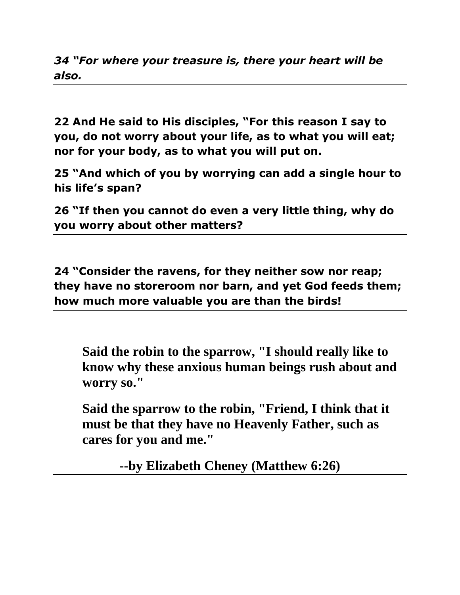*34 "For where your treasure is, there your heart will be also.*

**22 And He said to His disciples, "For this reason I say to you, do not worry about your life, as to what you will eat; nor for your body, as to what you will put on.** 

**25 "And which of you by worrying can add a single hour to his life's span?** 

**26 "If then you cannot do even a very little thing, why do you worry about other matters?** 

**24 "Consider the ravens, for they neither sow nor reap; they have no storeroom nor barn, and yet God feeds them; how much more valuable you are than the birds!** 

**Said the robin to the sparrow, "I should really like to know why these anxious human beings rush about and worry so."**

**Said the sparrow to the robin, "Friend, I think that it must be that they have no Heavenly Father, such as cares for you and me."** 

**--by Elizabeth Cheney (Matthew 6:26)**